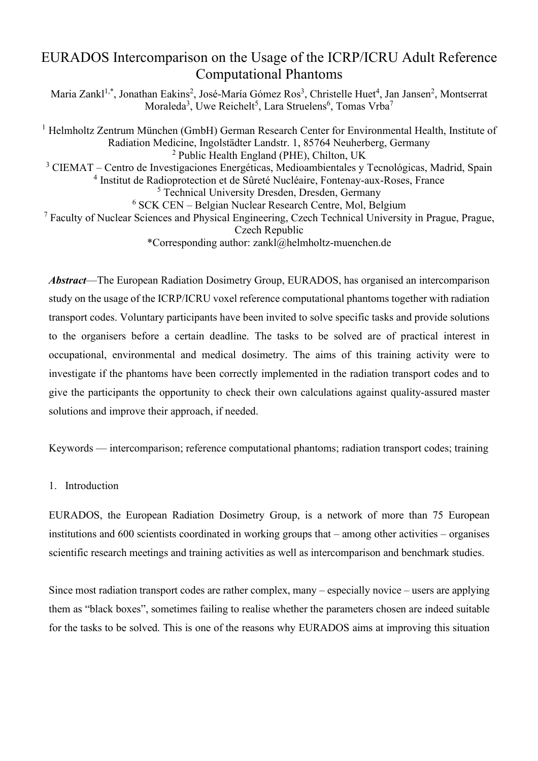# EURADOS Intercomparison on the Usage of the ICRP/ICRU Adult Reference Computational Phantoms

Maria Zankl<sup>1,\*</sup>, Jonathan Eakins<sup>2</sup>, José-María Gómez Ros<sup>3</sup>, Christelle Huet<sup>4</sup>, Jan Jansen<sup>2</sup>, Montserrat  $Moraleda<sup>3</sup>, Uwe Reichelt<sup>5</sup>, Lara Struelens<sup>6</sup>, Tomas Vrba<sup>7</sup>$ 

<sup>1</sup> Helmholtz Zentrum München (GmbH) German Research Center for Environmental Health, Institute of Radiation Medicine, Ingolstädter Landstr. 1, 85764 Neuherberg, Germany <sup>2</sup> Public Health England (PHE), Chilton, UK <sup>3</sup> CIEMAT – Centro de Investigaciones Energéticas, Medioambientales y Tecnológicas, Madrid, Spain <sup>4</sup> Institut de Radioprotection et de Sûreté Nucléaire, Fontenay-aux-Roses, France <sup>5</sup> Technical University Dresden, Dresden, Germany <sup>6</sup> SCK CEN – Belgian Nuclear Research Centre, Mol, Belgium <sup>7</sup> Faculty of Nuclear Sciences and Physical Engineering, Czech Technical University in Prague, Prague, Czech Republic \*Corresponding author: zankl@helmholtz-muenchen.de

*Abstract*—The European Radiation Dosimetry Group, EURADOS, has organised an intercomparison study on the usage of the ICRP/ICRU voxel reference computational phantoms together with radiation transport codes. Voluntary participants have been invited to solve specific tasks and provide solutions to the organisers before a certain deadline. The tasks to be solved are of practical interest in occupational, environmental and medical dosimetry. The aims of this training activity were to investigate if the phantoms have been correctly implemented in the radiation transport codes and to give the participants the opportunity to check their own calculations against quality-assured master solutions and improve their approach, if needed.

Keywords — intercomparison; reference computational phantoms; radiation transport codes; training

# 1. Introduction

EURADOS, the European Radiation Dosimetry Group, is a network of more than 75 European institutions and 600 scientists coordinated in working groups that – among other activities – organises scientific research meetings and training activities as well as intercomparison and benchmark studies.

Since most radiation transport codes are rather complex, many – especially novice – users are applying them as "black boxes", sometimes failing to realise whether the parameters chosen are indeed suitable for the tasks to be solved. This is one of the reasons why EURADOS aims at improving this situation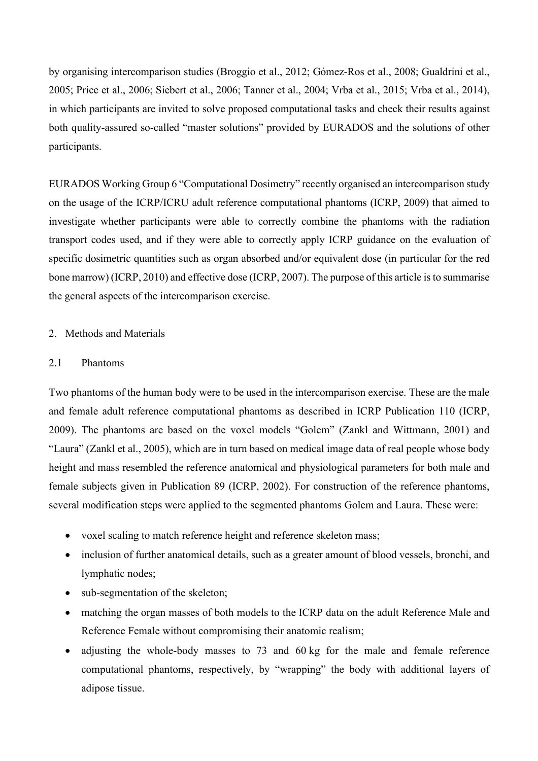by organising intercomparison studies (Broggio et al., 2012; Gómez-Ros et al., 2008; Gualdrini et al., 2005; Price et al., 2006; Siebert et al., 2006; Tanner et al., 2004; Vrba et al., 2015; Vrba et al., 2014), in which participants are invited to solve proposed computational tasks and check their results against both quality-assured so-called "master solutions" provided by EURADOS and the solutions of other participants.

EURADOS Working Group 6 "Computational Dosimetry" recently organised an intercomparison study on the usage of the ICRP/ICRU adult reference computational phantoms (ICRP, 2009) that aimed to investigate whether participants were able to correctly combine the phantoms with the radiation transport codes used, and if they were able to correctly apply ICRP guidance on the evaluation of specific dosimetric quantities such as organ absorbed and/or equivalent dose (in particular for the red bone marrow) (ICRP, 2010) and effective dose (ICRP, 2007). The purpose of this article is to summarise the general aspects of the intercomparison exercise.

# 2. Methods and Materials

# 2.1 Phantoms

Two phantoms of the human body were to be used in the intercomparison exercise. These are the male and female adult reference computational phantoms as described in ICRP Publication 110 (ICRP, 2009). The phantoms are based on the voxel models "Golem" (Zankl and Wittmann, 2001) and "Laura" (Zankl et al., 2005), which are in turn based on medical image data of real people whose body height and mass resembled the reference anatomical and physiological parameters for both male and female subjects given in Publication 89 (ICRP, 2002). For construction of the reference phantoms, several modification steps were applied to the segmented phantoms Golem and Laura. These were:

- voxel scaling to match reference height and reference skeleton mass;
- inclusion of further anatomical details, such as a greater amount of blood vessels, bronchi, and lymphatic nodes;
- sub-segmentation of the skeleton;
- matching the organ masses of both models to the ICRP data on the adult Reference Male and Reference Female without compromising their anatomic realism;
- adjusting the whole-body masses to 73 and 60 kg for the male and female reference computational phantoms, respectively, by "wrapping" the body with additional layers of adipose tissue.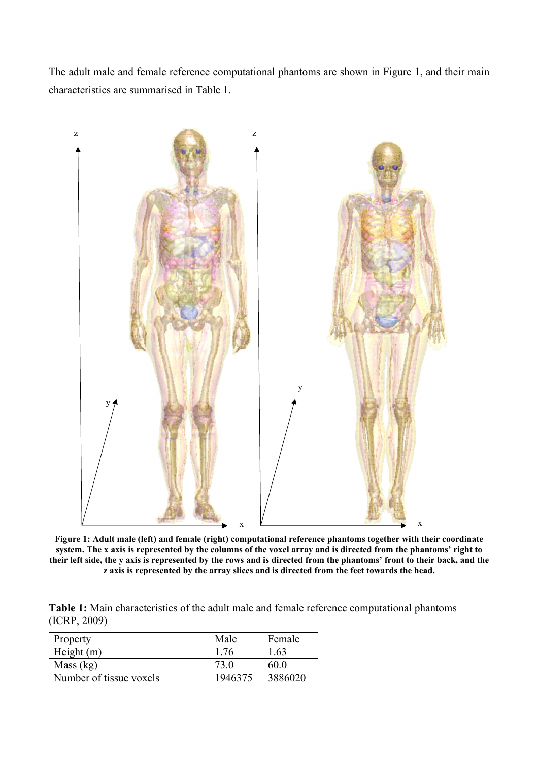The adult male and female reference computational phantoms are shown in Figure 1, and their main characteristics are summarised in Table 1.



**Figure 1: Adult male (left) and female (right) computational reference phantoms together with their coordinate system. The x axis is represented by the columns of the voxel array and is directed from the phantoms' right to their left side, the y axis is represented by the rows and is directed from the phantoms' front to their back, and the z axis is represented by the array slices and is directed from the feet towards the head.** 

**Table 1:** Main characteristics of the adult male and female reference computational phantoms (ICRP, 2009)

| Property                | Male    | Female  |
|-------------------------|---------|---------|
| Height $(m)$            | 1.76    | 1.63    |
| Mass (kg)               |         | 60.0    |
| Number of tissue voxels | 1946375 | 3886020 |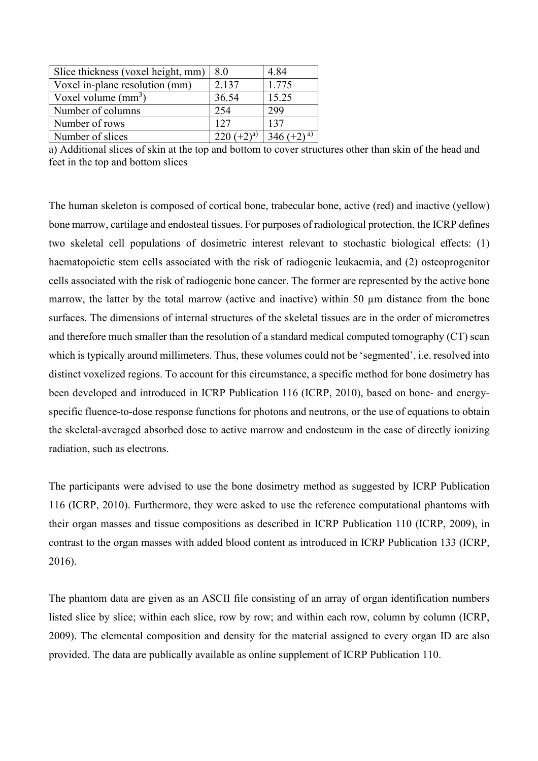| Slice thickness (voxel height, mm) | 8.0          | 4.84         |
|------------------------------------|--------------|--------------|
| Voxel in-plane resolution (mm)     | 2.137        | 1.775        |
| Voxel volume $(mm^3)$              | 36.54        | 15.25        |
| Number of columns                  | 254          | 299          |
| Number of rows                     | 127          | 137          |
| Number of slices                   | $220 (+2)^a$ | 346 $(+2)^a$ |

a) Additional slices of skin at the top and bottom to cover structures other than skin of the head and feet in the top and bottom slices

The human skeleton is composed of cortical bone, trabecular bone, active (red) and inactive (yellow) bone marrow, cartilage and endosteal tissues. For purposes of radiological protection, the ICRP defines two skeletal cell populations of dosimetric interest relevant to stochastic biological effects: (1) haematopoietic stem cells associated with the risk of radiogenic leukaemia, and (2) osteoprogenitor cells associated with the risk of radiogenic bone cancer. The former are represented by the active bone marrow, the latter by the total marrow (active and inactive) within 50  $\mu$ m distance from the bone surfaces. The dimensions of internal structures of the skeletal tissues are in the order of micrometres and therefore much smaller than the resolution of a standard medical computed tomography (CT) scan which is typically around millimeters. Thus, these volumes could not be 'segmented', i.e. resolved into distinct voxelized regions. To account for this circumstance, a specific method for bone dosimetry has been developed and introduced in ICRP Publication 116 (ICRP, 2010), based on bone- and energyspecific fluence-to-dose response functions for photons and neutrons, or the use of equations to obtain the skeletal-averaged absorbed dose to active marrow and endosteum in the case of directly ionizing radiation, such as electrons.

The participants were advised to use the bone dosimetry method as suggested by ICRP Publication 116 (ICRP, 2010). Furthermore, they were asked to use the reference computational phantoms with their organ masses and tissue compositions as described in ICRP Publication 110 (ICRP, 2009), in contrast to the organ masses with added blood content as introduced in ICRP Publication 133 (ICRP, 2016).

The phantom data are given as an ASCII file consisting of an array of organ identification numbers listed slice by slice; within each slice, row by row; and within each row, column by column (ICRP, 2009). The elemental composition and density for the material assigned to every organ ID are also provided. The data are publically available as online supplement of ICRP Publication 110.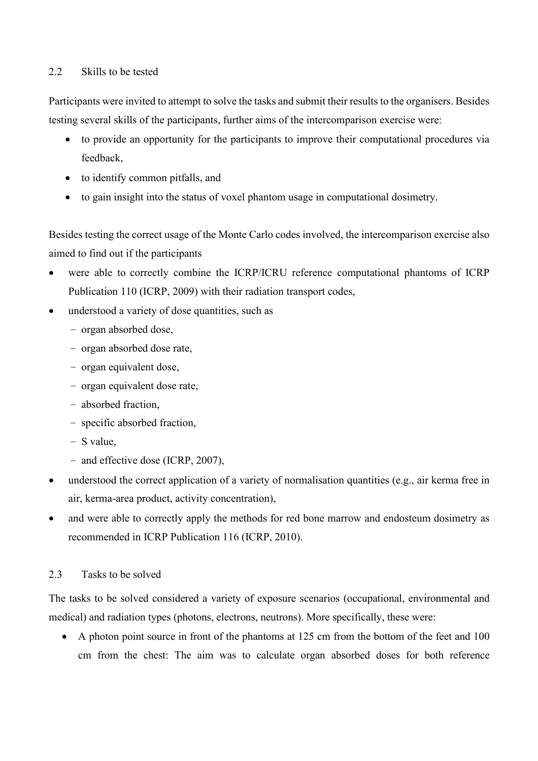# 2.2 Skills to be tested

Participants were invited to attempt to solve the tasks and submit their results to the organisers. Besides testing several skills of the participants, further aims of the intercomparison exercise were:

- to provide an opportunity for the participants to improve their computational procedures via feedback,
- to identify common pitfalls, and
- to gain insight into the status of voxel phantom usage in computational dosimetry.

Besides testing the correct usage of the Monte Carlo codes involved, the intercomparison exercise also aimed to find out if the participants

- were able to correctly combine the ICRP/ICRU reference computational phantoms of ICRP Publication 110 (ICRP, 2009) with their radiation transport codes,
- understood a variety of dose quantities, such as
	- organ absorbed dose,
	- organ absorbed dose rate,
	- organ equivalent dose,
	- organ equivalent dose rate,
	- absorbed fraction,
	- specific absorbed fraction,
	- S value,
	- and effective dose (ICRP, 2007),
- understood the correct application of a variety of normalisation quantities (e.g., air kerma free in air, kerma-area product, activity concentration),
- and were able to correctly apply the methods for red bone marrow and endosteum dosimetry as recommended in ICRP Publication 116 (ICRP, 2010).

# 2.3 Tasks to be solved

The tasks to be solved considered a variety of exposure scenarios (occupational, environmental and medical) and radiation types (photons, electrons, neutrons). More specifically, these were:

• A photon point source in front of the phantoms at 125 cm from the bottom of the feet and 100 cm from the chest: The aim was to calculate organ absorbed doses for both reference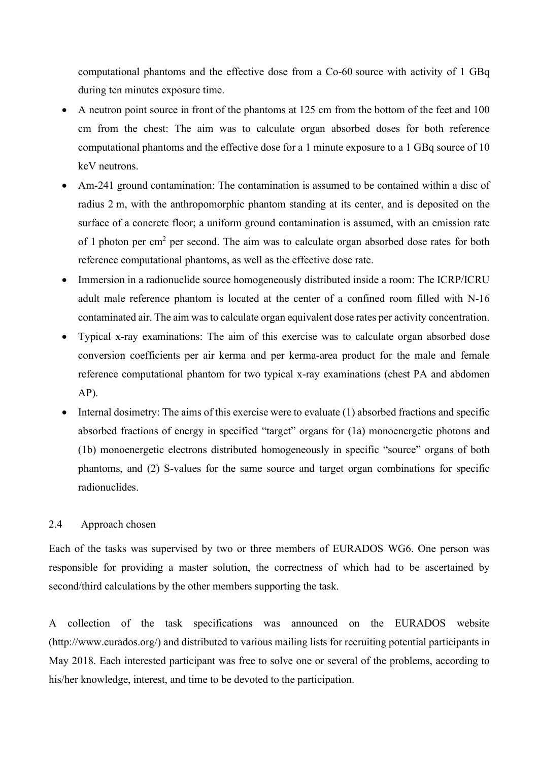computational phantoms and the effective dose from a Co-60 source with activity of 1 GBq during ten minutes exposure time.

- A neutron point source in front of the phantoms at 125 cm from the bottom of the feet and 100 cm from the chest: The aim was to calculate organ absorbed doses for both reference computational phantoms and the effective dose for a 1 minute exposure to a 1 GBq source of 10 keV neutrons.
- Am-241 ground contamination: The contamination is assumed to be contained within a disc of radius 2 m, with the anthropomorphic phantom standing at its center, and is deposited on the surface of a concrete floor; a uniform ground contamination is assumed, with an emission rate of 1 photon per cm<sup>2</sup> per second. The aim was to calculate organ absorbed dose rates for both reference computational phantoms, as well as the effective dose rate.
- Immersion in a radionuclide source homogeneously distributed inside a room: The ICRP/ICRU adult male reference phantom is located at the center of a confined room filled with N-16 contaminated air. The aim was to calculate organ equivalent dose rates per activity concentration.
- Typical x-ray examinations: The aim of this exercise was to calculate organ absorbed dose conversion coefficients per air kerma and per kerma-area product for the male and female reference computational phantom for two typical x-ray examinations (chest PA and abdomen AP).
- $\bullet$  Internal dosimetry: The aims of this exercise were to evaluate (1) absorbed fractions and specific absorbed fractions of energy in specified "target" organs for (1a) monoenergetic photons and (1b) monoenergetic electrons distributed homogeneously in specific "source" organs of both phantoms, and (2) S-values for the same source and target organ combinations for specific radionuclides.

# 2.4 Approach chosen

Each of the tasks was supervised by two or three members of EURADOS WG6. One person was responsible for providing a master solution, the correctness of which had to be ascertained by second/third calculations by the other members supporting the task.

A collection of the task specifications was announced on the EURADOS website (http://www.eurados.org/) and distributed to various mailing lists for recruiting potential participants in May 2018. Each interested participant was free to solve one or several of the problems, according to his/her knowledge, interest, and time to be devoted to the participation.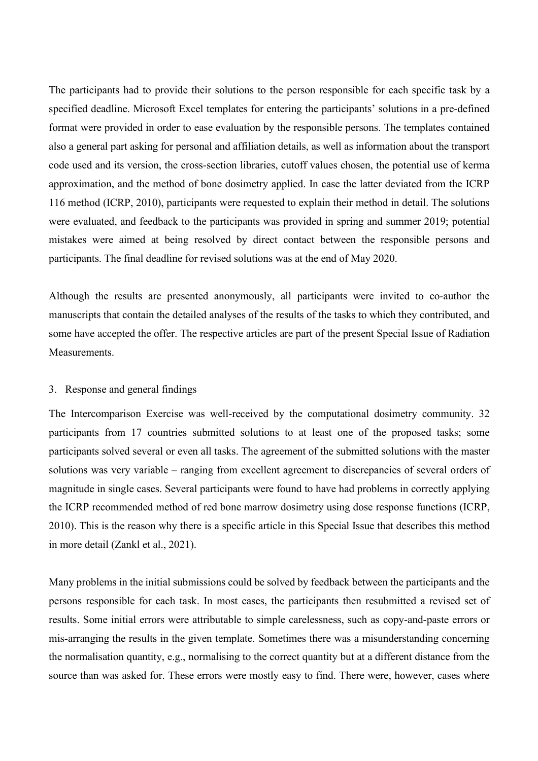The participants had to provide their solutions to the person responsible for each specific task by a specified deadline. Microsoft Excel templates for entering the participants' solutions in a pre-defined format were provided in order to ease evaluation by the responsible persons. The templates contained also a general part asking for personal and affiliation details, as well as information about the transport code used and its version, the cross-section libraries, cutoff values chosen, the potential use of kerma approximation, and the method of bone dosimetry applied. In case the latter deviated from the ICRP 116 method (ICRP, 2010), participants were requested to explain their method in detail. The solutions were evaluated, and feedback to the participants was provided in spring and summer 2019; potential mistakes were aimed at being resolved by direct contact between the responsible persons and participants. The final deadline for revised solutions was at the end of May 2020.

Although the results are presented anonymously, all participants were invited to co-author the manuscripts that contain the detailed analyses of the results of the tasks to which they contributed, and some have accepted the offer. The respective articles are part of the present Special Issue of Radiation Measurements.

#### 3. Response and general findings

The Intercomparison Exercise was well-received by the computational dosimetry community. 32 participants from 17 countries submitted solutions to at least one of the proposed tasks; some participants solved several or even all tasks. The agreement of the submitted solutions with the master solutions was very variable – ranging from excellent agreement to discrepancies of several orders of magnitude in single cases. Several participants were found to have had problems in correctly applying the ICRP recommended method of red bone marrow dosimetry using dose response functions (ICRP, 2010). This is the reason why there is a specific article in this Special Issue that describes this method in more detail (Zankl et al., 2021).

Many problems in the initial submissions could be solved by feedback between the participants and the persons responsible for each task. In most cases, the participants then resubmitted a revised set of results. Some initial errors were attributable to simple carelessness, such as copy-and-paste errors or mis-arranging the results in the given template. Sometimes there was a misunderstanding concerning the normalisation quantity, e.g., normalising to the correct quantity but at a different distance from the source than was asked for. These errors were mostly easy to find. There were, however, cases where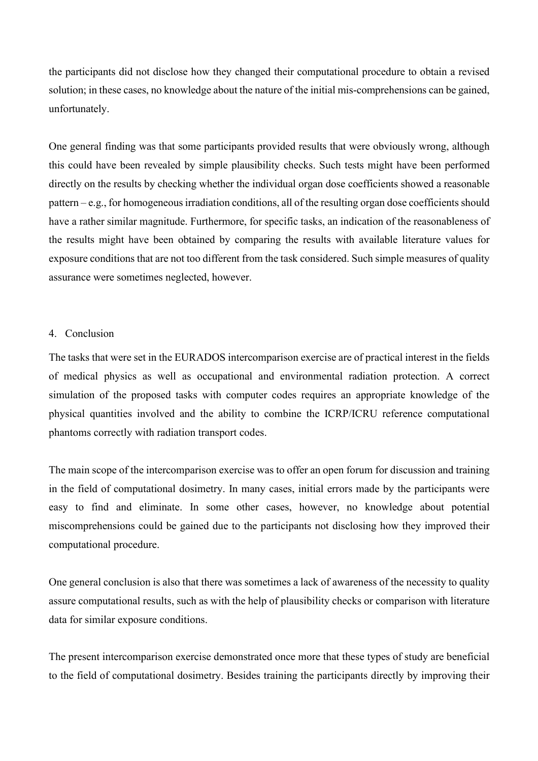the participants did not disclose how they changed their computational procedure to obtain a revised solution; in these cases, no knowledge about the nature of the initial mis-comprehensions can be gained, unfortunately.

One general finding was that some participants provided results that were obviously wrong, although this could have been revealed by simple plausibility checks. Such tests might have been performed directly on the results by checking whether the individual organ dose coefficients showed a reasonable pattern – e.g., for homogeneous irradiation conditions, all of the resulting organ dose coefficients should have a rather similar magnitude. Furthermore, for specific tasks, an indication of the reasonableness of the results might have been obtained by comparing the results with available literature values for exposure conditions that are not too different from the task considered. Such simple measures of quality assurance were sometimes neglected, however.

### 4. Conclusion

The tasks that were set in the EURADOS intercomparison exercise are of practical interest in the fields of medical physics as well as occupational and environmental radiation protection. A correct simulation of the proposed tasks with computer codes requires an appropriate knowledge of the physical quantities involved and the ability to combine the ICRP/ICRU reference computational phantoms correctly with radiation transport codes.

The main scope of the intercomparison exercise was to offer an open forum for discussion and training in the field of computational dosimetry. In many cases, initial errors made by the participants were easy to find and eliminate. In some other cases, however, no knowledge about potential miscomprehensions could be gained due to the participants not disclosing how they improved their computational procedure.

One general conclusion is also that there was sometimes a lack of awareness of the necessity to quality assure computational results, such as with the help of plausibility checks or comparison with literature data for similar exposure conditions.

The present intercomparison exercise demonstrated once more that these types of study are beneficial to the field of computational dosimetry. Besides training the participants directly by improving their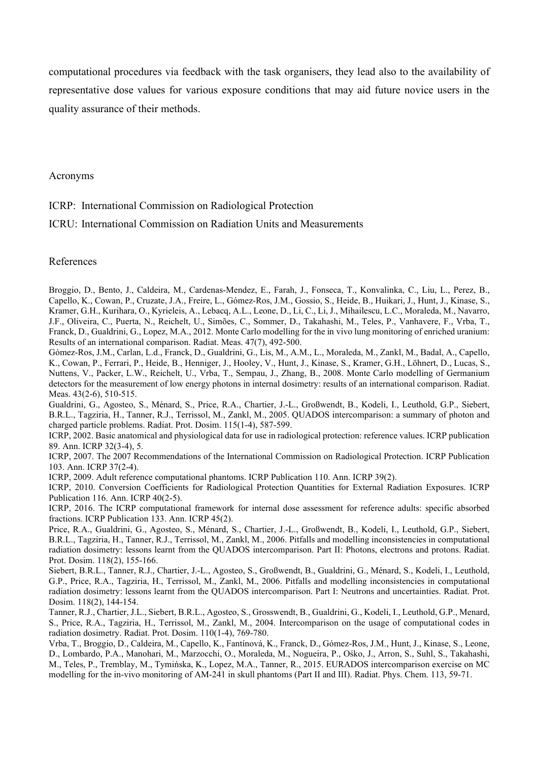computational procedures via feedback with the task organisers, they lead also to the availability of representative dose values for various exposure conditions that may aid future novice users in the quality assurance of their methods.

Acronyms

ICRP: International Commission on Radiological Protection

ICRU: International Commission on Radiation Units and Measurements

References

Broggio, D., Bento, J., Caldeira, M., Cardenas-Mendez, E., Farah, J., Fonseca, T., Konvalinka, C., Liu, L., Perez, B., Capello, K., Cowan, P., Cruzate, J.A., Freire, L., Gómez-Ros, J.M., Gossio, S., Heide, B., Huikari, J., Hunt, J., Kinase, S., Kramer, G.H., Kurihara, O., Kyrieleis, A., Lebacq, A.L., Leone, D., Li, C., Li, J., Mihailescu, L.C., Moraleda, M., Navarro, J.F., Oliveira, C., Puerta, N., Reichelt, U., Simões, C., Sommer, D., Takahashi, M., Teles, P., Vanhavere, F., Vrba, T., Franck, D., Gualdrini, G., Lopez, M.A., 2012. Monte Carlo modelling for the in vivo lung monitoring of enriched uranium: Results of an international comparison. Radiat. Meas. 47(7), 492-500.

Gómez-Ros, J.M., Carlan, L.d., Franck, D., Gualdrini, G., Lis, M., A.M., L., Moraleda, M., Zankl, M., Badal, A., Capello, K., Cowan, P., Ferrari, P., Heide, B., Henniger, J., Hooley, V., Hunt, J., Kinase, S., Kramer, G.H., Löhnert, D., Lucas, S., Nuttens, V., Packer, L.W., Reichelt, U., Vrba, T., Sempau, J., Zhang, B., 2008. Monte Carlo modelling of Germanium detectors for the measurement of low energy photons in internal dosimetry: results of an international comparison. Radiat. Meas. 43(2-6), 510-515.

Gualdrini, G., Agosteo, S., Ménard, S., Price, R.A., Chartier, J.-L., Großwendt, B., Kodeli, I., Leuthold, G.P., Siebert, B.R.L., Tagziria, H., Tanner, R.J., Terrissol, M., Zankl, M., 2005. QUADOS intercomparison: a summary of photon and charged particle problems. Radiat. Prot. Dosim. 115(1-4), 587-599.

ICRP, 2002. Basic anatomical and physiological data for use in radiological protection: reference values. ICRP publication 89. Ann. ICRP 32(3-4), 5.

ICRP, 2007. The 2007 Recommendations of the International Commission on Radiological Protection. ICRP Publication 103. Ann. ICRP 37(2-4).

ICRP, 2009. Adult reference computational phantoms. ICRP Publication 110. Ann. ICRP 39(2).

ICRP, 2010. Conversion Coefficients for Radiological Protection Quantities for External Radiation Exposures. ICRP Publication 116. Ann. ICRP 40(2-5).

ICRP, 2016. The ICRP computational framework for internal dose assessment for reference adults: specific absorbed fractions. ICRP Publication 133. Ann. ICRP 45(2).

Price, R.A., Gualdrini, G., Agosteo, S., Ménard, S., Chartier, J.-L., Großwendt, B., Kodeli, I., Leuthold, G.P., Siebert, B.R.L., Tagziria, H., Tanner, R.J., Terrissol, M., Zankl, M., 2006. Pitfalls and modelling inconsistencies in computational radiation dosimetry: lessons learnt from the QUADOS intercomparison. Part II: Photons, electrons and protons. Radiat. Prot. Dosim. 118(2), 155-166.

Siebert, B.R.L., Tanner, R.J., Chartier, J.-L., Agosteo, S., Großwendt, B., Gualdrini, G., Ménard, S., Kodeli, I., Leuthold, G.P., Price, R.A., Tagziria, H., Terrissol, M., Zankl, M., 2006. Pitfalls and modelling inconsistencies in computational radiation dosimetry: lessons learnt from the QUADOS intercomparison. Part I: Neutrons and uncertainties. Radiat. Prot. Dosim. 118(2), 144-154.

Tanner, R.J., Chartier, J.L., Siebert, B.R.L., Agosteo, S., Grosswendt, B., Gualdrini, G., Kodeli, I., Leuthold, G.P., Menard, S., Price, R.A., Tagziria, H., Terrissol, M., Zankl, M., 2004. Intercomparison on the usage of computational codes in radiation dosimetry. Radiat. Prot. Dosim. 110(1-4), 769-780.

Vrba, T., Broggio, D., Caldeira, M., Capello, K., Fantínová, K., Franck, D., Gómez-Ros, J.M., Hunt, J., Kinase, S., Leone, D., Lombardo, P.A., Manohari, M., Marzocchi, O., Moraleda, M., Nogueira, P., Ośko, J., Arron, S., Suhl, S., Takahashi, M., Teles, P., Tremblay, M., Tymińska, K., Lopez, M.A., Tanner, R., 2015. EURADOS intercomparison exercise on MC modelling for the in-vivo monitoring of AM-241 in skull phantoms (Part II and III). Radiat. Phys. Chem. 113, 59-71.